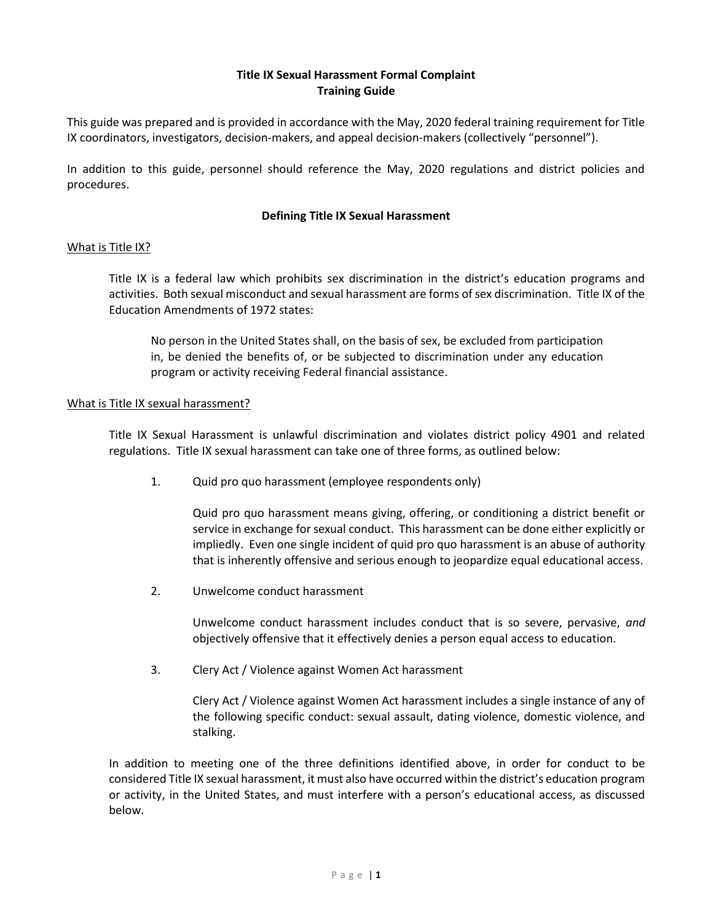## Title IX Sexual Harassment Formal Complaint Training Guide

This guide was prepared and is provided in accordance with the May, 2020 federal training requirement for Title IX coordinators, investigators, decision-makers, and appeal decision-makers (collectively "personnel").

In addition to this guide, personnel should reference the May, 2020 regulations and district policies and procedures.

#### Defining Title IX Sexual Harassment

#### What is Title IX?

Title IX is a federal law which prohibits sex discrimination in the district's education programs and activities. Both sexual misconduct and sexual harassment are forms of sex discrimination. Title IX of the Education Amendments of 1972 states:

No person in the United States shall, on the basis of sex, be excluded from participation in, be denied the benefits of, or be subjected to discrimination under any education program or activity receiving Federal financial assistance.

#### What is Title IX sexual harassment?

Title IX Sexual Harassment is unlawful discrimination and violates district policy 4901 and related regulations. Title IX sexual harassment can take one of three forms, as outlined below:

1. Quid pro quo harassment (employee respondents only)

Quid pro quo harassment means giving, offering, or conditioning a district benefit or service in exchange for sexual conduct. This harassment can be done either explicitly or impliedly. Even one single incident of quid pro quo harassment is an abuse of authority that is inherently offensive and serious enough to jeopardize equal educational access.

2. Unwelcome conduct harassment

Unwelcome conduct harassment includes conduct that is so severe, pervasive, and objectively offensive that it effectively denies a person equal access to education.

3. Clery Act / Violence against Women Act harassment

Clery Act / Violence against Women Act harassment includes a single instance of any of the following specific conduct: sexual assault, dating violence, domestic violence, and stalking.

In addition to meeting one of the three definitions identified above, in order for conduct to be considered Title IX sexual harassment, it must also have occurred within the district's education program or activity, in the United States, and must interfere with a person's educational access, as discussed below.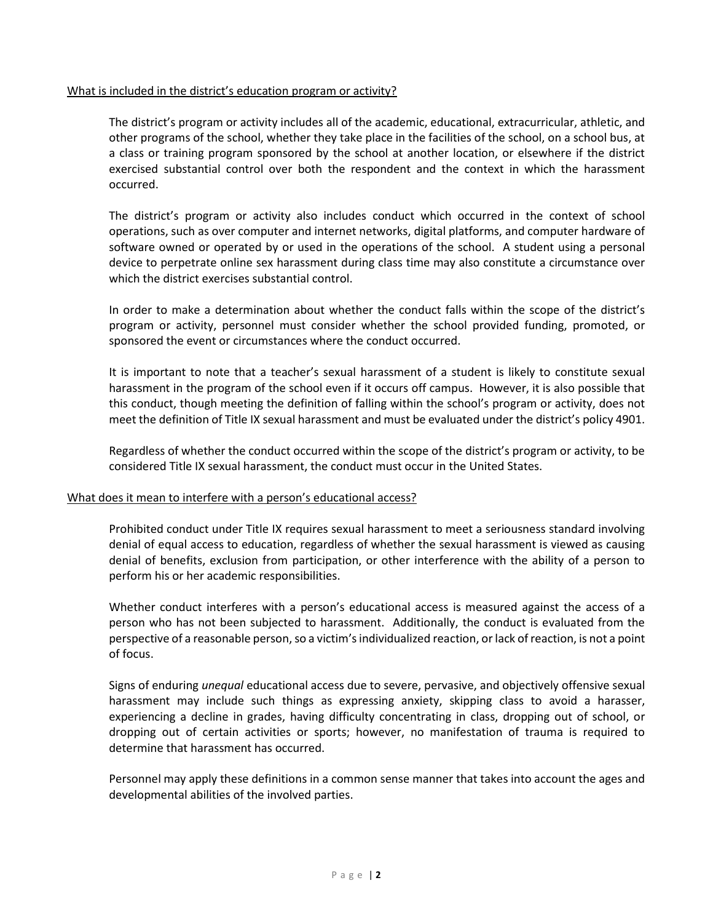# What is included in the district's education program or activity?

The district's program or activity includes all of the academic, educational, extracurricular, athletic, and other programs of the school, whether they take place in the facilities of the school, on a school bus, at a class or training program sponsored by the school at another location, or elsewhere if the district exercised substantial control over both the respondent and the context in which the harassment occurred.

The district's program or activity also includes conduct which occurred in the context of school operations, such as over computer and internet networks, digital platforms, and computer hardware of software owned or operated by or used in the operations of the school. A student using a personal device to perpetrate online sex harassment during class time may also constitute a circumstance over which the district exercises substantial control.

In order to make a determination about whether the conduct falls within the scope of the district's program or activity, personnel must consider whether the school provided funding, promoted, or sponsored the event or circumstances where the conduct occurred.

It is important to note that a teacher's sexual harassment of a student is likely to constitute sexual harassment in the program of the school even if it occurs off campus. However, it is also possible that this conduct, though meeting the definition of falling within the school's program or activity, does not meet the definition of Title IX sexual harassment and must be evaluated under the district's policy 4901.

Regardless of whether the conduct occurred within the scope of the district's program or activity, to be considered Title IX sexual harassment, the conduct must occur in the United States.

#### What does it mean to interfere with a person's educational access?

Prohibited conduct under Title IX requires sexual harassment to meet a seriousness standard involving denial of equal access to education, regardless of whether the sexual harassment is viewed as causing denial of benefits, exclusion from participation, or other interference with the ability of a person to perform his or her academic responsibilities.

Whether conduct interferes with a person's educational access is measured against the access of a person who has not been subjected to harassment. Additionally, the conduct is evaluated from the perspective of a reasonable person, so a victim's individualized reaction, or lack of reaction, is not a point of focus.

Signs of enduring unequal educational access due to severe, pervasive, and objectively offensive sexual harassment may include such things as expressing anxiety, skipping class to avoid a harasser, experiencing a decline in grades, having difficulty concentrating in class, dropping out of school, or dropping out of certain activities or sports; however, no manifestation of trauma is required to determine that harassment has occurred.

Personnel may apply these definitions in a common sense manner that takes into account the ages and developmental abilities of the involved parties.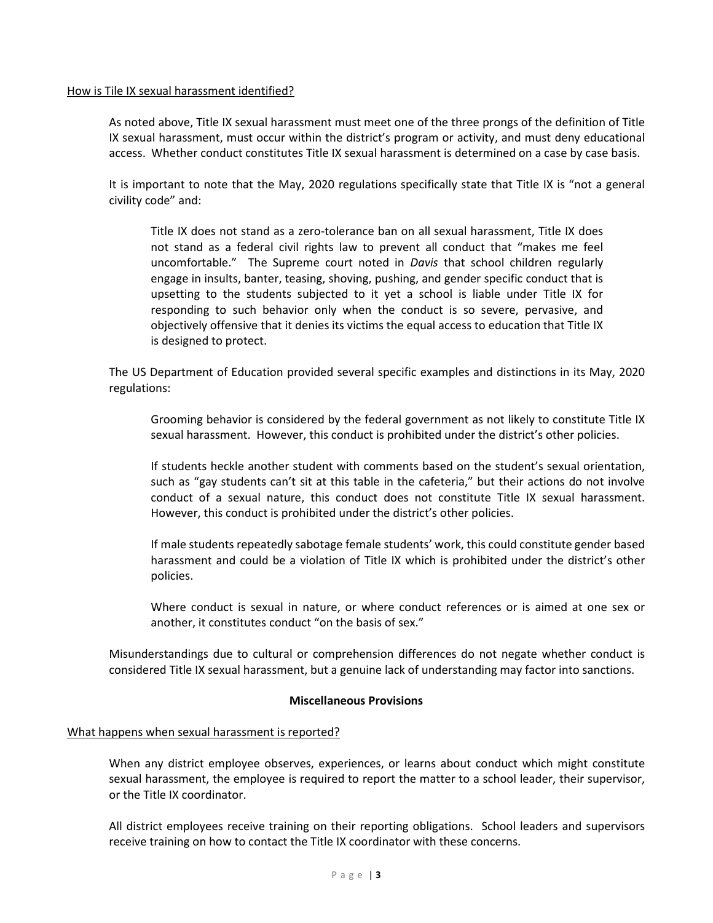### How is Tile IX sexual harassment identified?

As noted above, Title IX sexual harassment must meet one of the three prongs of the definition of Title IX sexual harassment, must occur within the district's program or activity, and must deny educational access. Whether conduct constitutes Title IX sexual harassment is determined on a case by case basis.

It is important to note that the May, 2020 regulations specifically state that Title IX is "not a general civility code" and:

Title IX does not stand as a zero-tolerance ban on all sexual harassment, Title IX does not stand as a federal civil rights law to prevent all conduct that "makes me feel uncomfortable." The Supreme court noted in Davis that school children regularly engage in insults, banter, teasing, shoving, pushing, and gender specific conduct that is upsetting to the students subjected to it yet a school is liable under Title IX for responding to such behavior only when the conduct is so severe, pervasive, and objectively offensive that it denies its victims the equal access to education that Title IX is designed to protect.

The US Department of Education provided several specific examples and distinctions in its May, 2020 regulations:

Grooming behavior is considered by the federal government as not likely to constitute Title IX sexual harassment. However, this conduct is prohibited under the district's other policies.

If students heckle another student with comments based on the student's sexual orientation, such as "gay students can't sit at this table in the cafeteria," but their actions do not involve conduct of a sexual nature, this conduct does not constitute Title IX sexual harassment. However, this conduct is prohibited under the district's other policies.

If male students repeatedly sabotage female students' work, this could constitute gender based harassment and could be a violation of Title IX which is prohibited under the district's other policies.

Where conduct is sexual in nature, or where conduct references or is aimed at one sex or another, it constitutes conduct "on the basis of sex."

Misunderstandings due to cultural or comprehension differences do not negate whether conduct is considered Title IX sexual harassment, but a genuine lack of understanding may factor into sanctions.

#### Miscellaneous Provisions

# What happens when sexual harassment is reported?

When any district employee observes, experiences, or learns about conduct which might constitute sexual harassment, the employee is required to report the matter to a school leader, their supervisor, or the Title IX coordinator.

All district employees receive training on their reporting obligations. School leaders and supervisors receive training on how to contact the Title IX coordinator with these concerns.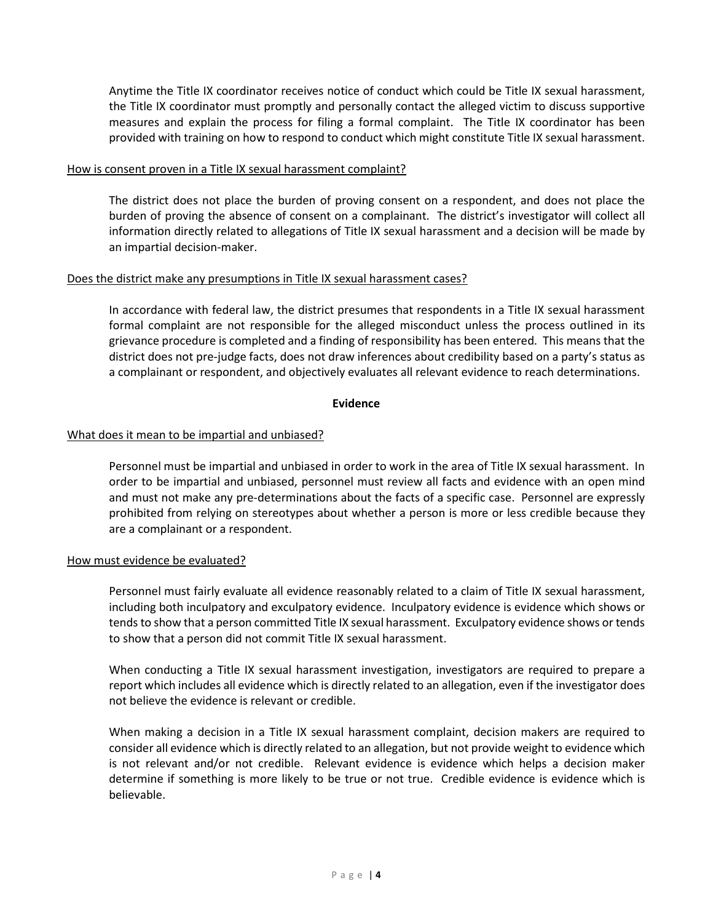Anytime the Title IX coordinator receives notice of conduct which could be Title IX sexual harassment, the Title IX coordinator must promptly and personally contact the alleged victim to discuss supportive measures and explain the process for filing a formal complaint. The Title IX coordinator has been provided with training on how to respond to conduct which might constitute Title IX sexual harassment.

## How is consent proven in a Title IX sexual harassment complaint?

The district does not place the burden of proving consent on a respondent, and does not place the burden of proving the absence of consent on a complainant. The district's investigator will collect all information directly related to allegations of Title IX sexual harassment and a decision will be made by an impartial decision-maker.

# Does the district make any presumptions in Title IX sexual harassment cases?

In accordance with federal law, the district presumes that respondents in a Title IX sexual harassment formal complaint are not responsible for the alleged misconduct unless the process outlined in its grievance procedure is completed and a finding of responsibility has been entered. This means that the district does not pre-judge facts, does not draw inferences about credibility based on a party's status as a complainant or respondent, and objectively evaluates all relevant evidence to reach determinations.

### Evidence

# What does it mean to be impartial and unbiased?

Personnel must be impartial and unbiased in order to work in the area of Title IX sexual harassment. In order to be impartial and unbiased, personnel must review all facts and evidence with an open mind and must not make any pre-determinations about the facts of a specific case. Personnel are expressly prohibited from relying on stereotypes about whether a person is more or less credible because they are a complainant or a respondent.

# How must evidence be evaluated?

Personnel must fairly evaluate all evidence reasonably related to a claim of Title IX sexual harassment, including both inculpatory and exculpatory evidence. Inculpatory evidence is evidence which shows or tends to show that a person committed Title IX sexual harassment. Exculpatory evidence shows or tends to show that a person did not commit Title IX sexual harassment.

When conducting a Title IX sexual harassment investigation, investigators are required to prepare a report which includes all evidence which is directly related to an allegation, even if the investigator does not believe the evidence is relevant or credible.

When making a decision in a Title IX sexual harassment complaint, decision makers are required to consider all evidence which is directly related to an allegation, but not provide weight to evidence which is not relevant and/or not credible. Relevant evidence is evidence which helps a decision maker determine if something is more likely to be true or not true. Credible evidence is evidence which is believable.